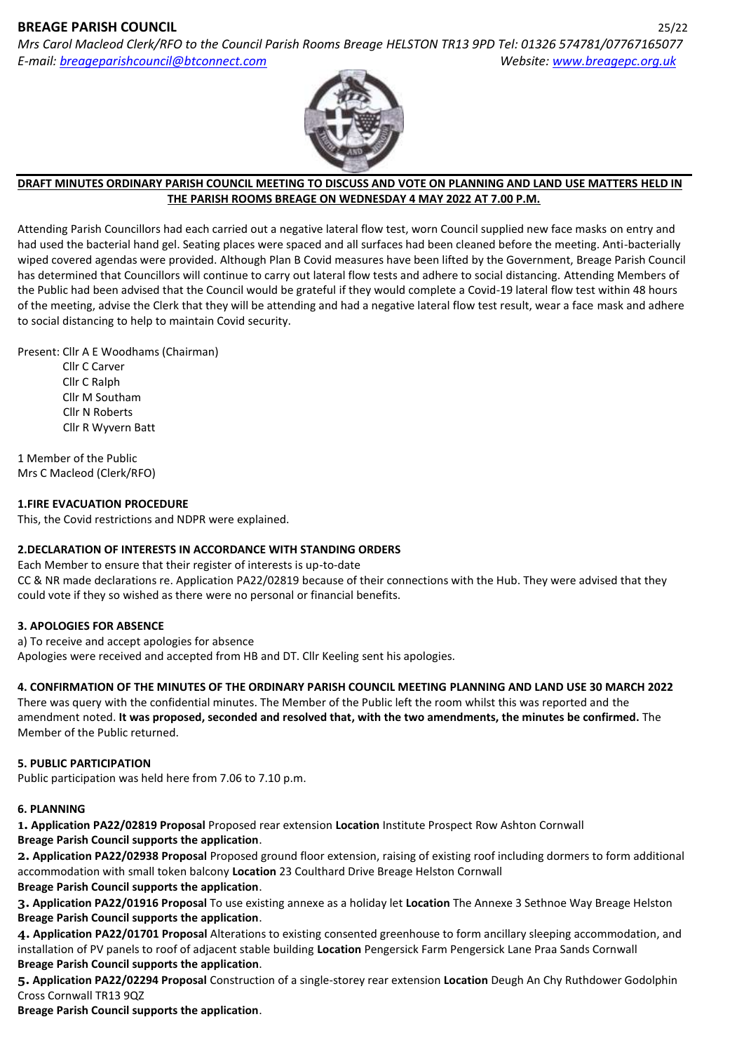## **BREAGE PARISH COUNCIL** 25/22

*Mrs Carol Macleod Clerk/RFO to the Council Parish Rooms Breage HELSTON TR13 9PD Tel: 01326 574781/07767165077 E-mail: [breageparishcouncil@btconnect.com](mailto:breageparishcouncil@btconnect.com) Website: [www.breagepc.org.uk](http://www.breagepc.org.uk/)*



#### **DRAFT MINUTES ORDINARY PARISH COUNCIL MEETING TO DISCUSS AND VOTE ON PLANNING AND LAND USE MATTERS HELD IN THE PARISH ROOMS BREAGE ON WEDNESDAY 4 MAY 2022 AT 7.00 P.M.**

Attending Parish Councillors had each carried out a negative lateral flow test, worn Council supplied new face masks on entry and had used the bacterial hand gel. Seating places were spaced and all surfaces had been cleaned before the meeting. Anti-bacterially wiped covered agendas were provided. Although Plan B Covid measures have been lifted by the Government, Breage Parish Council has determined that Councillors will continue to carry out lateral flow tests and adhere to social distancing. Attending Members of the Public had been advised that the Council would be grateful if they would complete a Covid-19 lateral flow test within 48 hours of the meeting, advise the Clerk that they will be attending and had a negative lateral flow test result, wear a face mask and adhere to social distancing to help to maintain Covid security.

#### Present: Cllr A E Woodhams (Chairman)

Cllr C Carver Cllr C Ralph Cllr M Southam Cllr N Roberts Cllr R Wyvern Batt

1 Member of the Public Mrs C Macleod (Clerk/RFO)

#### **1.FIRE EVACUATION PROCEDURE**

This, the Covid restrictions and NDPR were explained.

#### **2.DECLARATION OF INTERESTS IN ACCORDANCE WITH STANDING ORDERS**

Each Member to ensure that their register of interests is up-to-date

CC & NR made declarations re. Application PA22/02819 because of their connections with the Hub. They were advised that they could vote if they so wished as there were no personal or financial benefits.

#### **3. APOLOGIES FOR ABSENCE**

a) To receive and accept apologies for absence Apologies were received and accepted from HB and DT. Cllr Keeling sent his apologies.

## **4. CONFIRMATION OF THE MINUTES OF THE ORDINARY PARISH COUNCIL MEETING PLANNING AND LAND USE 30 MARCH 2022**

There was query with the confidential minutes. The Member of the Public left the room whilst this was reported and the amendment noted. **It was proposed, seconded and resolved that, with the two amendments, the minutes be confirmed.** The Member of the Public returned.

#### **5. PUBLIC PARTICIPATION**

Public participation was held here from 7.06 to 7.10 p.m.

# **6. PLANNING**

**1. Application PA22/02819 Proposal** Proposed rear extension **Location** Institute Prospect Row Ashton Cornwall **Breage Parish Council supports the application**.

**2. Application PA22/02938 Proposal** Proposed ground floor extension, raising of existing roof including dormers to form additional accommodation with small token balcony **Location** 23 Coulthard Drive Breage Helston Cornwall **Breage Parish Council supports the application**.

**3. Application PA22/01916 Proposal** To use existing annexe as a holiday let **Location** The Annexe 3 Sethnoe Way Breage Helston **Breage Parish Council supports the application**.

**4. Application PA22/01701 Proposal** Alterations to existing consented greenhouse to form ancillary sleeping accommodation, and installation of PV panels to roof of adjacent stable building **Location** Pengersick Farm Pengersick Lane Praa Sands Cornwall **Breage Parish Council supports the application**.

**5. Application PA22/02294 Proposal** Construction of a single-storey rear extension **Location** Deugh An Chy Ruthdower Godolphin Cross Cornwall TR13 9QZ

**Breage Parish Council supports the application**.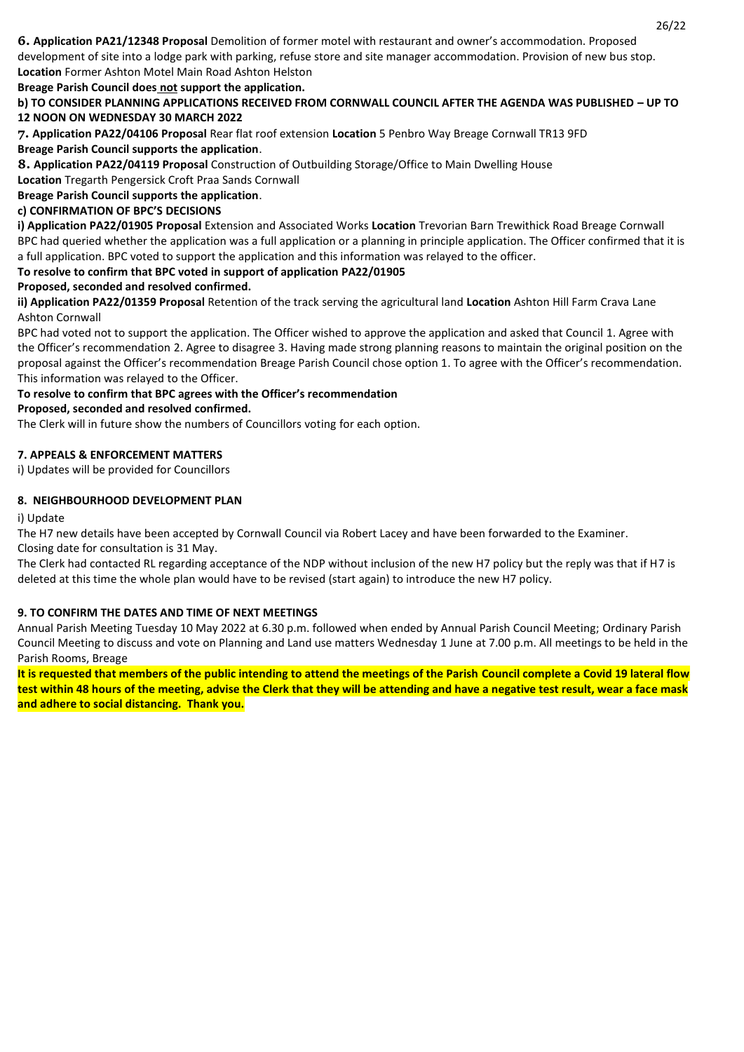**Breage Parish Council does not support the application.**

#### **b) TO CONSIDER PLANNING APPLICATIONS RECEIVED FROM CORNWALL COUNCIL AFTER THE AGENDA WAS PUBLISHED – UP TO 12 NOON ON WEDNESDAY 30 MARCH 2022**

**7. Application PA22/04106 Proposal** Rear flat roof extension **Location** 5 Penbro Way Breage Cornwall TR13 9FD **Breage Parish Council supports the application**.

**8. Application PA22/04119 Proposal** Construction of Outbuilding Storage/Office to Main Dwelling House

**Location** Tregarth Pengersick Croft Praa Sands Cornwall

**Breage Parish Council supports the application**.

# **c) CONFIRMATION OF BPC'S DECISIONS**

**i) Application PA22/01905 Proposal** Extension and Associated Works **Location** Trevorian Barn Trewithick Road Breage Cornwall BPC had queried whether the application was a full application or a planning in principle application. The Officer confirmed that it is a full application. BPC voted to support the application and this information was relayed to the officer.

## **To resolve to confirm that BPC voted in support of application PA22/01905**

## **Proposed, seconded and resolved confirmed.**

**ii) Application PA22/01359 Proposal** Retention of the track serving the agricultural land **Location** Ashton Hill Farm Crava Lane Ashton Cornwall

BPC had voted not to support the application. The Officer wished to approve the application and asked that Council 1. Agree with the Officer's recommendation 2. Agree to disagree 3. Having made strong planning reasons to maintain the original position on the proposal against the Officer's recommendation Breage Parish Council chose option 1. To agree with the Officer's recommendation. This information was relayed to the Officer.

**To resolve to confirm that BPC agrees with the Officer's recommendation**

**Proposed, seconded and resolved confirmed.**

The Clerk will in future show the numbers of Councillors voting for each option.

## **7. APPEALS & ENFORCEMENT MATTERS**

i) Updates will be provided for Councillors

#### **8. NEIGHBOURHOOD DEVELOPMENT PLAN**

i) Update

The H7 new details have been accepted by Cornwall Council via Robert Lacey and have been forwarded to the Examiner. Closing date for consultation is 31 May.

The Clerk had contacted RL regarding acceptance of the NDP without inclusion of the new H7 policy but the reply was that if H7 is deleted at this time the whole plan would have to be revised (start again) to introduce the new H7 policy.

## **9. TO CONFIRM THE DATES AND TIME OF NEXT MEETINGS**

Annual Parish Meeting Tuesday 10 May 2022 at 6.30 p.m. followed when ended by Annual Parish Council Meeting; Ordinary Parish Council Meeting to discuss and vote on Planning and Land use matters Wednesday 1 June at 7.00 p.m. All meetings to be held in the Parish Rooms, Breage

**It is requested that members of the public intending to attend the meetings of the Parish Council complete a Covid 19 lateral flow test within 48 hours of the meeting, advise the Clerk that they will be attending and have a negative test result, wear a face mask and adhere to social distancing. Thank you.**